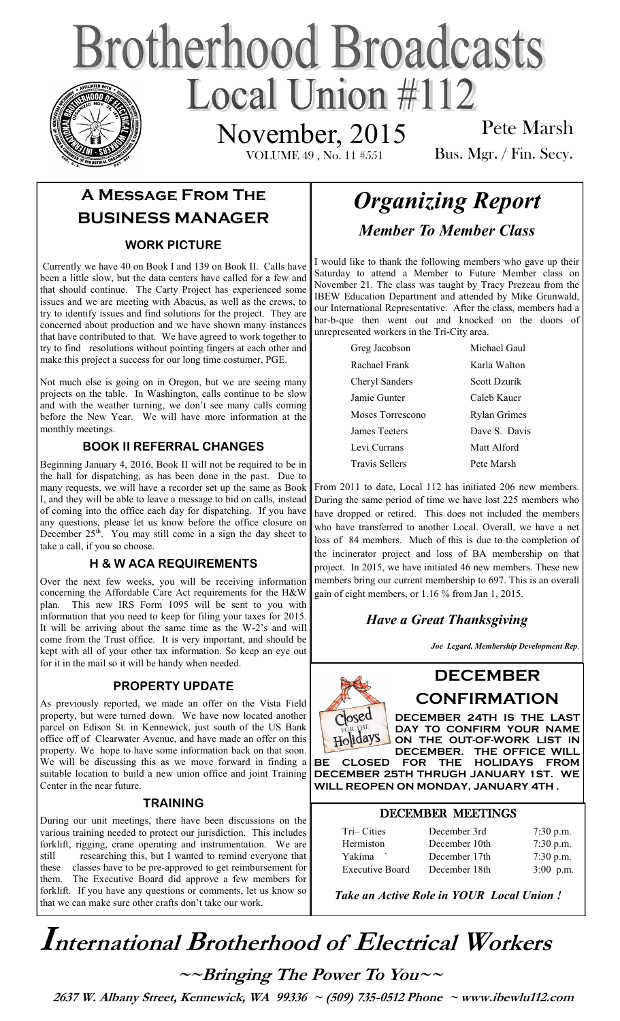# **Brotherhood Broadcasts** Local Union  $\#112$ November, 2015

VOLUME 49 , No. 11 #551

Pete Marsh Bus. Mgr. / Fin. Secy.

# **A Message From The BUSINESS MANAGER**

### **WORK PICTURE**

Currently we have 40 on Book I and 139 on Book II. Calls have been a little slow, but the data centers have called for a few and that should continue. The Carty Project has experienced some issues and we are meeting with Abacus, as well as the crews, to try to identify issues and find solutions for the project. They are concerned about production and we have shown many instances that have contributed to that. We have agreed to work together to try to find resolutions without pointing fingers at each other and make this project a success for our long time costumer, PGE.

Not much else is going on in Oregon, but we are seeing many projects on the table. In Washington, calls continue to be slow and with the weather turning, we don't see many calls coming before the New Year. We will have more information at the monthly meetings.

## **BOOK II REFERRAL CHANGES**

Beginning January 4, 2016, Book II will not be required to be in the hall for dispatching, as has been done in the past. Due to many requests, we will have a recorder set up the same as Book I, and they will be able to leave a message to bid on calls, instead of coming into the office each day for dispatching. If you have any questions, please let us know before the office closure on December  $25<sup>th</sup>$ . You may still come in a sign the day sheet to take a call, if you so choose.

### **H & W ACA REQUIREMENTS**

Over the next few weeks, you will be receiving information concerning the Affordable Care Act requirements for the H&W plan. This new IRS Form 1095 will be sent to you with information that you need to keep for filing your taxes for 2015. It will be arriving about the same time as the W-2's and will come from the Trust office. It is very important, and should be kept with all of your other tax information. So keep an eye out for it in the mail so it will be handy when needed.

## **PROPERTY UPDATE**

As previously reported, we made an offer on the Vista Field property, but were turned down. We have now located another parcel on Edison St. in Kennewick, just south of the US Bank office off of Clearwater Avenue, and have made an offer on this property. We hope to have some information back on that soon. We will be discussing this as we move forward in finding a suitable location to build a new union office and joint Training Center in the near future.

#### **TRAINING**

During our unit meetings, there have been discussions on the various training needed to protect our jurisdiction. This includes forklift, rigging, crane operating and instrumentation. We are still researching this, but I wanted to remind everyone that these classes have to be pre-approved to get reimbursement for them. The Executive Board did approve a few members for forklift. If you have any questions or comments, let us know so that we can make sure other crafts don't take our work.

# *Organizing Report Member To Member Class*

I would like to thank the following members who gave up their Saturday to attend a Member to Future Member class on November 21. The class was taught by Tracy Prezeau from the IBEW Education Department and attended by Mike Grunwald, our International Representative. After the class, members had a bar-b-que then went out and knocked on the doors of unrepresented workers in the Tri-City area.

| Greg Jacobson         | Michael Gaul        |
|-----------------------|---------------------|
| Rachael Frank         | Karla Walton        |
| Cheryl Sanders        | Scott Dzurik        |
| Jamie Gunter          | Caleb Kauer         |
| Moses Torrescono      | <b>Rylan Grimes</b> |
| <b>James Teeters</b>  | Dave S Davis        |
| Levi Currans          | Matt Alford         |
| <b>Travis Sellers</b> | Pete Marsh          |

From 2011 to date, Local 112 has initiated 206 new members. During the same period of time we have lost 225 members who have dropped or retired. This does not included the members who have transferred to another Local. Overall, we have a net loss of 84 members. Much of this is due to the completion of the incinerator project and loss of BA membership on that project. In 2015, we have initiated 46 new members. These new members bring our current membership to 697. This is an overall gain of eight members, or 1.16 % from Jan 1, 2015.

# *Have a Great Thanksgiving*

*Joe Legard, Membership Development Rep*.



**CONFIRMATION DECEMBER 24TH IS THE LAST DAY TO CONFIRM YOUR NAME ON THE OUT-OF-WORK LIST IN** 

**DECEMBER** 

**DECEMBER. THE OFFICE WILL BE CLOSED FOR THE HOLIDAYS FROM DECEMBER 25TH THRUGH JANUARY 1ST. WE WILL REOPEN ON MONDAY, JANUARY 4TH** .

### DECEMBER MEETINGS

| Tri-Cities |                        | December 3rd  | $7:30$ p.m. |
|------------|------------------------|---------------|-------------|
| Hermiston  |                        | December 10th | $7:30$ p.m. |
| Yakima     |                        | December 17th | $7:30$ p.m. |
|            | <b>Executive Board</b> | December 18th | $3:00$ p.m. |
|            |                        |               |             |

*Take an Active Role in YOUR Local Union !* 

# **International Brotherhood of <sup>E</sup>lectrical Workers**

**~~Bringing The Power To You~~** 

 **2637 W. Albany Street, Kennewick, WA 99336 ~ (509) 735-0512 Phone ~ www.ibewlu112.com**